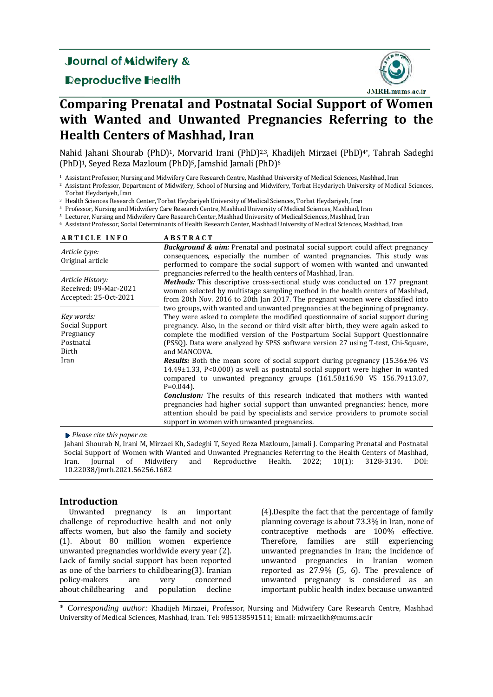## **Journal of Midwifery &**

### **Reproductive Health**



# **Comparing Prenatal and Postnatal Social Support of Women with Wanted and Unwanted Pregnancies Referring to the Health Centers of Mashhad, Iran**

Nahid Jahani Shourab (PhD)<sup>1</sup>, Morvarid Irani (PhD)<sup>2,3</sup>, Khadijeh Mirzaei (PhD)<sup>4\*</sup>, Tahrah Sadeghi (PhD)<sup>1</sup>, Seyed Reza Mazloum (PhD)<sup>5</sup>, Jamshid Jamali (PhD)<sup>6</sup>

 $1$  Assistant Professor, Nursing and Midwifery Care Research Centre, Mashhad University of Medical Sciences, Mashhad, Iran

<sup>2</sup> Assistant Professor, Department of Midwifery, School of Nursing and Midwifery, Torbat Heydariyeh University of Medical Sciences, Torbat Heydariyeh, Iran

<sup>3</sup> Health Sciences Research Center, Torbat Heydariyeh University of Medical Sciences, Torbat Heydariyeh, Iran

<sup>4</sup> Professor, Nursing and Midwifery Care Research Centre, Mashhad University of Medical Sciences, Mashhad, Iran

<sup>5</sup> Lecturer, Nursing and Midwifery Care Research Center, Mashhad University of Medical Sciences, Mashhad, Iran

6 Assistant Professor, Social Determinants of Health Research Center, Mashhad University of Medical Sciences, Mashhad, Iran

| <b>ARTICLE INFO</b>                                                | <b>ABSTRACT</b>                                                                                                                                                                                                                                                                                                                                                                                            |  |
|--------------------------------------------------------------------|------------------------------------------------------------------------------------------------------------------------------------------------------------------------------------------------------------------------------------------------------------------------------------------------------------------------------------------------------------------------------------------------------------|--|
| Article type:<br>Original article                                  | <b>Background &amp; aim:</b> Prenatal and postnatal social support could affect pregnancy<br>consequences, especially the number of wanted pregnancies. This study was<br>performed to compare the social support of women with wanted and unwanted                                                                                                                                                        |  |
| Article History:<br>Received: 09-Mar-2021<br>Accepted: 25-Oct-2021 | pregnancies referred to the health centers of Mashhad, Iran.<br><b>Methods:</b> This descriptive cross-sectional study was conducted on 177 pregnant<br>women selected by multistage sampling method in the health centers of Mashhad,<br>from 20th Nov. 2016 to 20th Jan 2017. The pregnant women were classified into<br>two groups, with wanted and unwanted pregnancies at the beginning of pregnancy. |  |
| Key words:<br>Social Support<br>Pregnancy<br>Postnatal<br>Birth    | They were asked to complete the modified questionnaire of social support during<br>pregnancy. Also, in the second or third visit after birth, they were again asked to<br>complete the modified version of the Postpartum Social Support Questionnaire<br>(PSSQ). Data were analyzed by SPSS software version 27 using T-test, Chi-Square,<br>and MANCOVA.                                                 |  |
| Iran                                                               | <b>Results:</b> Both the mean score of social support during pregnancy (15.36±.96 VS)<br>14.49±1.33, P<0.000) as well as postnatal social support were higher in wanted<br>compared to unwanted pregnancy groups $(161.58 \pm 16.90 \text{ VS } 156.79 \pm 13.07,$<br>$P=0.044$ ).                                                                                                                         |  |
|                                                                    | <b>Conclusion:</b> The results of this research indicated that mothers with wanted<br>pregnancies had higher social support than unwanted pregnancies; hence, more<br>attention should be paid by specialists and service providers to promote social<br>support in women with unwanted pregnancies.                                                                                                       |  |

*Please cite this paper as*: 

Jahani Shourab N, Irani M, Mirzaei Kh, Sadeghi T, Seyed Reza Mazloum, Jamali J. Comparing Prenatal and Postnatal Social Support of Women with Wanted and Unwanted Pregnancies Referring to the Health Centers of Mashhad, Iran. Journal of Midwifery and Reproductive Health. 2022; 10(1): 3128-3134. DOI: 10.22038/jmrh.2021.56256.1682 

#### **Introduction**

Unwanted pregnancy is an important challenge of reproductive health and not only affects women, but also the family and society (1). About 80 million women experience unwanted pregnancies worldwide every year (2). Lack of family social support has been reported as one of the barriers to childbearing $(3)$ . Iranian policy-makers are very concerned about childbearing and population decline

 $(4)$ . Despite the fact that the percentage of family planning coverage is about 73.3% in Iran, none of contraceptive methods are 100% effective. Therefore, families are still experiencing unwanted pregnancies in Iran; the incidence of unwanted pregnancies in Iranian women reported as  $27.9\%$  (5, 6). The prevalence of unwanted pregnancy is considered as an important public health index because unwanted

\* *Corresponding author:* Khadijeh Mirzaei, Professor, Nursing and Midwifery Care Research Centre, Mashhad University of Medical Sciences, Mashhad, Iran. Tel: 985138591511; Email: mirzaeikh@mums.ac.ir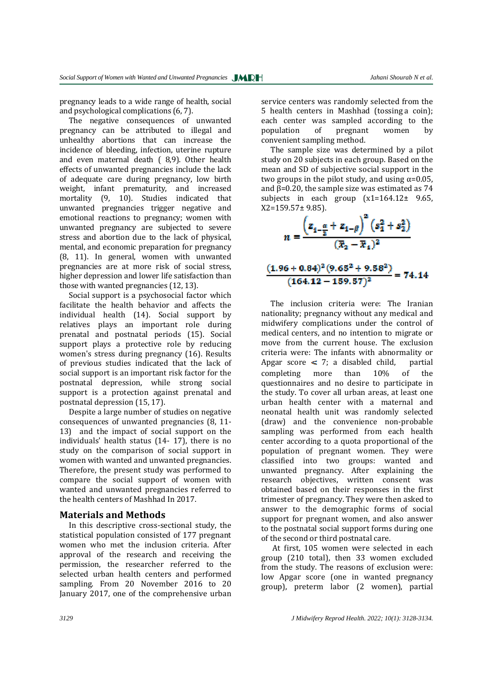Ī

pregnancy leads to a wide range of health, social and psychological complications  $(6, 7)$ .

The negative consequences of unwanted pregnancy can be attributed to illegal and unhealthy abortions that can increase the incidence of bleeding, infection, uterine rupture and even maternal death  $(8,9)$ . Other health effects of unwanted pregnancies include the lack of adequate care during pregnancy, low birth weight, infant prematurity, and increased mortality (9, 10). Studies indicated that unwanted pregnancies trigger negative and emotional reactions to pregnancy; women with unwanted pregnancy are subjected to severe stress and abortion due to the lack of physical. mental, and economic preparation for pregnancy  $(8, 11)$ . In general, women with unwanted pregnancies are at more risk of social stress, higher depression and lower life satisfaction than those with wanted pregnancies  $(12, 13)$ .

Social support is a psychosocial factor which facilitate the health behavior and affects the individual health (14). Social support by relatives plays an important role during prenatal and postnatal periods (15). Social support plays a protective role by reducing women's stress during pregnancy (16). Results of previous studies indicated that the lack of social support is an important risk factor for the postnatal depression, while strong social support is a protection against prenatal and postnatal depression (15, 17).

Despite a large number of studies on negative consequences of unwanted pregnancies  $(8, 11$ -13) and the impact of social support on the individuals' health status (14- 17), there is no study on the comparison of social support in women with wanted and unwanted pregnancies. Therefore, the present study was performed to compare the social support of women with wanted and unwanted pregnancies referred to the health centers of Mashhad In 2017.

#### **Materials and Methods**

In this descriptive cross-sectional study, the statistical population consisted of 177 pregnant women who met the inclusion criteria. After approval of the research and receiving the permission, the researcher referred to the selected urban health centers and performed sampling. From 20 November 2016 to 20 January 2017, one of the comprehensive urban

service centers was randomly selected from the 5 health centers in Mashhad (tossing a coin); each center was sampled according to the population of pregnant women by convenient sampling method.

The sample size was determined by a pilot study on 20 subjects in each group. Based on the mean and SD of subjective social support in the two groups in the pilot study, and using  $\alpha$ =0.05. and  $\beta$ =0.20, the sample size was estimated as 74 subjects in each group  $(x1=164.12 \pm 9.65)$ ,  $X2=159.57\pm9.85$ ).

$$
n = \frac{\left(z_{1-\frac{\alpha}{2}} + z_{1-\beta}\right)^2 \left(s_1^2 + s_2^2\right)}{(x_2 - x_1)^2}
$$

$$
\frac{(1.96+0.84)^2(9.65^2+9.58^2)}{(164.12-159.57)^2} = 74.14
$$

The inclusion criteria were: The Iranian nationality; pregnancy without any medical and midwifery complications under the control of medical centers, and no intention to migrate or move from the current house. The exclusion criteria were: The infants with abnormality or Apgar score  $\leq 7$ ; a disabled child, partial completing more than  $10\%$  of the questionnaires and no desire to participate in the study. To cover all urban areas, at least one urban health center with a maternal and neonatal health unit was randomly selected (draw) and the convenience non-probable sampling was performed from each health center according to a quota proportional of the population of pregnant women. They were classified into two groups: wanted and unwanted pregnancy. After explaining the research objectives, written consent was obtained based on their responses in the first trimester of pregnancy. They were then asked to answer to the demographic forms of social support for pregnant women, and also answer to the postnatal social support forms during one of the second or third postnatal care.

At first, 105 women were selected in each group (210 total), then 33 women excluded from the study. The reasons of exclusion were: low Apgar score (one in wanted pregnancy group), preterm labor (2 women), partial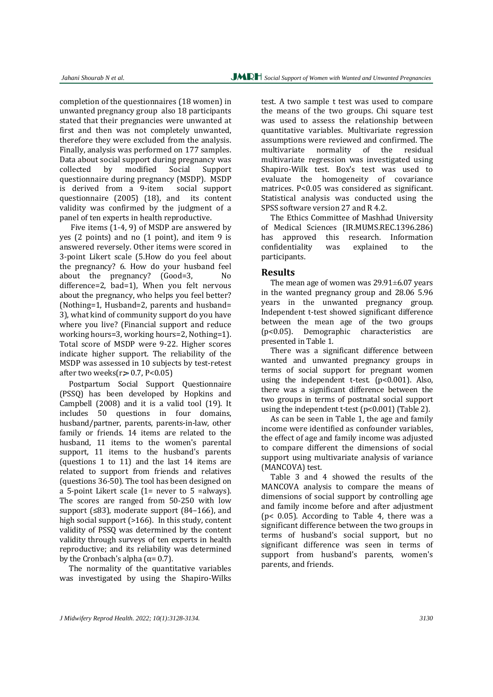completion of the questionnaires (18 women) in unwanted pregnancy group also 18 participants stated that their pregnancies were unwanted at first and then was not completely unwanted, therefore they were excluded from the analysis. Finally, analysis was performed on 177 samples. Data about social support during pregnancy was collected by modified Social Support questionnaire during pregnancy (MSDP). MSDP is derived from a 9-item social support questionnaire  $(2005)$   $(18)$ , and its content validity was confirmed by the judgment of a panel of ten experts in health reproductive.

Five items  $(1-4, 9)$  of MSDP are answered by yes  $(2 \text{ points})$  and no  $(1 \text{ point})$ , and item  $9 \text{ is}$ answered reversely. Other items were scored in 3-point Likert scale (5.How do you feel about the pregnancy? 6. How do your husband feel about the pregnancy?  $(Good=3, \qquad No$ difference=2, bad=1), When you felt nervous about the pregnancy, who helps you feel better? (Nothing=1, Husband=2, parents and husband= 3), what kind of community support do you have where you live? (Financial support and reduce working hours=3, working hours=2, Nothing=1). Total score of MSDP were 9-22. Higher scores indicate higher support. The reliability of the MSDP was assessed in 10 subjects by test-retest after two weeks $(r > 0.7, P < 0.05)$ 

Postpartum Social Support Questionnaire (PSSQ) has been developed by Hopkins and Campbell  $(2008)$  and it is a valid tool  $(19)$ . It includes 50 questions in four domains, husband/partner, parents, parents-in-law, other family or friends. 14 items are related to the husband, 11 items to the women's parental support, 11 items to the husband's parents (questions 1 to 11) and the last 14 items are related to support from friends and relatives (questions  $36-50$ ). The tool has been designed on a 5-point Likert scale  $(1=$  never to 5 =always). The scores are ranged from  $50-250$  with low support  $(≤83)$ , moderate support  $(84–166)$ , and high social support  $(>166)$ . In this study, content validity of PSSQ was determined by the content validity through surveys of ten experts in health reproductive; and its reliability was determined by the Cronbach's alpha  $(\alpha=0.7)$ .

The normality of the quantitative variables was investigated by using the Shapiro-Wilks test. A two sample t test was used to compare the means of the two groups. Chi square test was used to assess the relationship between quantitative variables. Multivariate regression assumptions were reviewed and confirmed. The multivariate normality of the residual multivariate regression was investigated using Shapiro-Wilk test. Box's test was used to evaluate the homogeneity of covariance matrices.  $P < 0.05$  was considered as significant. Statistical analysis was conducted using the SPSS software version 27 and R 4.2.

The Ethics Committee of Mashhad University of Medical Sciences (IR.MUMS.REC.1396.286) has approved this research. Information confidentiality was explained to the participants. 

#### **Results**

The mean age of women was  $29.91\pm6.07$  years in the wanted pregnancy group and  $28.06\,5.96$ years in the unwanted pregnancy group. Independent t-test showed significant difference between the mean age of the two groups (p<0.05). Demographic characteristics are presented in Table 1.

There was a significant difference between wanted and unwanted pregnancy groups in terms of social support for pregnant women using the independent t-test.  $(p<0.001)$ . Also, there was a significant difference between the two groups in terms of postnatal social support using the independent  $t$ -test  $(p<0.001)$  (Table 2).

As can be seen in Table 1, the age and family income were identified as confounder variables, the effect of age and family income was adjusted to compare different the dimensions of social support using multivariate analysis of variance (MANCOVA) test.

Table 3 and 4 showed the results of the MANCOVA analysis to compare the means of dimensions of social support by controlling age and family income before and after adjustment ( $p$  < 0.05). According to Table 4, there was a significant difference between the two groups in terms of husband's social support, but no significant difference was seen in terms of support from husband's parents, women's parents, and friends.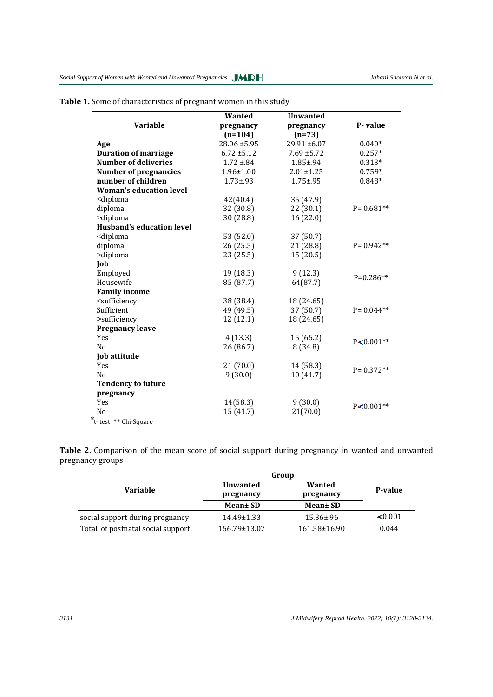Ī

| <b>Variable</b>                                                                   | <b>Wanted</b><br>pregnancy | <b>Unwanted</b><br>pregnancy | P-value       |
|-----------------------------------------------------------------------------------|----------------------------|------------------------------|---------------|
|                                                                                   | $(n=104)$                  | $(n=73)$                     |               |
| Age                                                                               | 28.06 ±5.95                | $29.91 \pm 6.07$             | $0.040*$      |
| <b>Duration of marriage</b>                                                       | $6.72 \pm 5.12$            | $7.69 \pm 5.72$              | $0.257*$      |
| <b>Number of deliveries</b>                                                       | $1.72 \pm .84$             | $1.85 + .94$                 | $0.313*$      |
| <b>Number of pregnancies</b>                                                      | $1.96 \pm 1.00$            | $2.01 \pm 1.25$              | $0.759*$      |
| number of children                                                                | $1.73 + .93$               | $1.75 + .95$                 | $0.848*$      |
| <b>Woman's education level</b>                                                    |                            |                              |               |
| <diploma< td=""><td>42(40.4)</td><td>35 (47.9)</td><td></td></diploma<>           | 42(40.4)                   | 35 (47.9)                    |               |
| diploma                                                                           | 32 (30.8)                  | 22(30.1)                     | $P = 0.681**$ |
| >diploma                                                                          | 30 (28.8)                  | 16 (22.0)                    |               |
| <b>Husband's education level</b>                                                  |                            |                              |               |
| <diploma< td=""><td>53 (52.0)</td><td>37 (50.7)</td><td></td></diploma<>          | 53 (52.0)                  | 37 (50.7)                    |               |
| diploma                                                                           | 26(25.5)                   | 21 (28.8)                    | $P = 0.942**$ |
| >diploma                                                                          | 23(25.5)                   | 15(20.5)                     |               |
| Job                                                                               |                            |                              |               |
| Employed                                                                          | 19 (18.3)                  | 9(12.3)                      | $P=0.286**$   |
| Housewife                                                                         | 85 (87.7)                  | 64(87.7)                     |               |
| <b>Family income</b>                                                              |                            |                              |               |
| <sufficiency< td=""><td>38 (38.4)</td><td>18 (24.65)</td><td></td></sufficiency<> | 38 (38.4)                  | 18 (24.65)                   |               |
| Sufficient                                                                        | 49 (49.5)                  | 37 (50.7)                    | $P = 0.044**$ |
| >sufficiency                                                                      | 12 (12.1)                  | 18 (24.65)                   |               |
| <b>Pregnancy leave</b>                                                            |                            |                              |               |
| Yes                                                                               | 4(13.3)                    | 15(65.2)                     | $P < 0.001**$ |
| N <sub>0</sub>                                                                    | 26 (86.7)                  | 8(34.8)                      |               |
| Job attitude                                                                      |                            |                              |               |
| Yes                                                                               | 21(70.0)                   | 14 (58.3)                    | $P = 0.372**$ |
| N <sub>0</sub>                                                                    | 9(30.0)                    | 10(41.7)                     |               |
| <b>Tendency to future</b>                                                         |                            |                              |               |
| pregnancy                                                                         |                            |                              |               |
| Yes                                                                               | 14(58.3)                   | 9(30.0)                      | $P < 0.001**$ |
| N <sub>o</sub>                                                                    | 15 (41.7)                  | 21(70.0)                     |               |

#### Table 1. Some of characteristics of pregnant women in this study

\*t-test \*\* Chi-Square

Table 2. Comparison of the mean score of social support during pregnancy in wanted and unwanted pregnancy groups

|                                   | Group                        |                                |              |
|-----------------------------------|------------------------------|--------------------------------|--------------|
| <b>Variable</b>                   | <b>Unwanted</b><br>pregnancy | Wanted<br>P-value<br>pregnancy |              |
|                                   | Mean $\pm$ SD                | Mean $\pm$ SD                  |              |
| social support during pregnancy   | 14.49±1.33                   | $15.36 \pm 0.96$               | $\leq 0.001$ |
| Total of postnatal social support | 156.79±13.07                 | 161.58±16.90                   | 0.044        |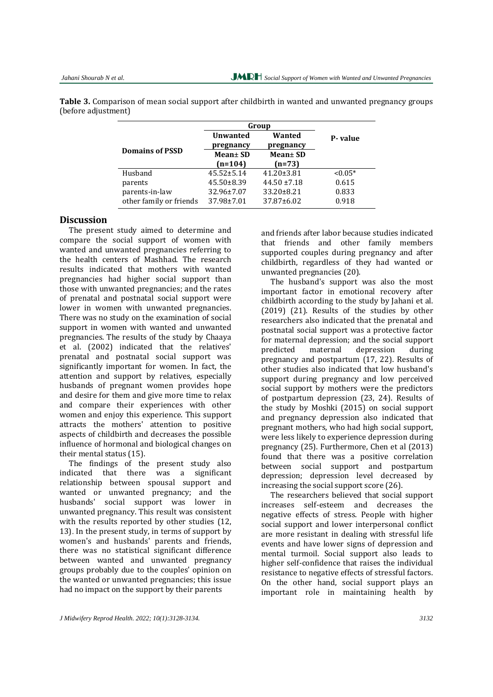|                         | Group            |                  |           |
|-------------------------|------------------|------------------|-----------|
|                         | <b>Unwanted</b>  | Wanted           | P-value   |
| <b>Domains of PSSD</b>  | pregnancy        | pregnancy        |           |
|                         | Mean $\pm$ SD    | $Mean \pm SD$    |           |
|                         | $(n=104)$        | $(n=73)$         |           |
| Husband                 | $45.52 \pm 5.14$ | $41.20 \pm 3.81$ | $< 0.05*$ |
| parents                 | $45.50 \pm 8.39$ | $44.50 \pm 7.18$ | 0.615     |
| parents-in-law          | 32.96±7.07       | 33.20±8.21       | 0.833     |
| other family or friends | 37.98±7.01       | 37.87±6.02       | 0.918     |

**Table 3.** Comparison of mean social support after childbirth in wanted and unwanted pregnancy groups (before adjustment)

#### **Discussion**

The present study aimed to determine and compare the social support of women with wanted and unwanted pregnancies referring to the health centers of Mashhad. The research results indicated that mothers with wanted pregnancies had higher social support than those with unwanted pregnancies; and the rates of prenatal and postnatal social support were lower in women with unwanted pregnancies. There was no study on the examination of social support in women with wanted and unwanted pregnancies. The results of the study by Chaaya et al. (2002) indicated that the relatives' prenatal and postnatal social support was significantly important for women. In fact, the attention and support by relatives, especially husbands of pregnant women provides hope and desire for them and give more time to relax and compare their experiences with other women and enjoy this experience. This support attracts the mothers' attention to positive aspects of childbirth and decreases the possible influence of hormonal and biological changes on their mental status (15).

The findings of the present study also indicated that there was a significant relationship between spousal support and wanted or unwanted pregnancy; and the husbands' social support was lower in unwanted pregnancy. This result was consistent with the results reported by other studies  $(12, 12)$ 13). In the present study, in terms of support by women's and husbands' parents and friends, there was no statistical significant difference between wanted and unwanted pregnancy groups probably due to the couples' opinion on the wanted or unwanted pregnancies; this issue had no impact on the support by their parents

and friends after labor because studies indicated that friends and other family members supported couples during pregnancy and after childbirth, regardless of they had wanted or unwanted pregnancies (20).

The husband's support was also the most important factor in emotional recovery after childbirth according to the study by Jahani et al.  $(2019)$   $(21)$ . Results of the studies by other researchers also indicated that the prenatal and postnatal social support was a protective factor for maternal depression; and the social support predicted maternal depression during pregnancy and postpartum (17, 22). Results of other studies also indicated that low husband's support during pregnancy and low perceived social support by mothers were the predictors of postpartum depression  $(23, 24)$ . Results of the study by Moshki  $(2015)$  on social support and pregnancy depression also indicated that pregnant mothers, who had high social support, were less likely to experience depression during pregnancy  $(25)$ . Furthermore, Chen et al  $(2013)$ found that there was a positive correlation between social support and postpartum depression; depression level decreased by increasing the social support score (26).

The researchers believed that social support increases self‐esteem and decreases the negative effects of stress. People with higher social support and lower interpersonal conflict are more resistant in dealing with stressful life events and have lower signs of depression and mental turmoil. Social support also leads to higher self-confidence that raises the individual resistance to negative effects of stressful factors. On the other hand, social support plays an important role in maintaining health by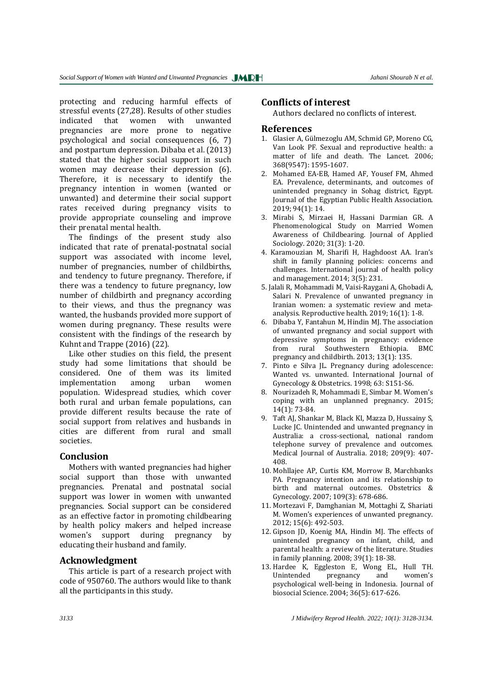Ī

protecting and reducing harmful effects of stressful events (27,28). Results of other studies indicated that women with unwanted pregnancies are more prone to negative psychological and social consequences  $(6, 7)$ and postpartum depression. Dibaba et al. (2013) stated that the higher social support in such women may decrease their depression (6). Therefore, it is necessary to identify the pregnancy intention in women (wanted or unwanted) and determine their social support rates received during pregnancy visits to provide appropriate counseling and improve their prenatal mental health.

The findings of the present study also indicated that rate of prenatal-postnatal social support was associated with income level, number of pregnancies, number of childbirths, and tendency to future pregnancy. Therefore, if there was a tendency to future pregnancy, low number of childbirth and pregnancy according to their views, and thus the pregnancy was wanted, the husbands provided more support of women during pregnancy. These results were consistent with the findings of the research by Kuhnt and Trappe  $(2016)$   $(22)$ .

Like other studies on this field, the present study had some limitations that should be considered. One of them was its limited implementation among urban women population. Widespread studies, which cover both rural and urban female populations, can provide different results because the rate of social support from relatives and husbands in cities are different from rural and small societies. 

#### **Conclusion**

Mothers with wanted pregnancies had higher social support than those with unwanted pregnancies. Prenatal and postnatal social support was lower in women with unwanted pregnancies. Social support can be considered as an effective factor in promoting childbearing by health policy makers and helped increase women's support during pregnancy by educating their husband and family.

#### **Acknowledgment**

This article is part of a research project with code of 950760. The authors would like to thank all the participants in this study.

#### **Conflicts of interest**

Authors declared no conflicts of interest.

#### **References**

- 1. Glasier A, Gülmezoglu AM, Schmid GP, Moreno CG, Van Look PF. Sexual and reproductive health: a matter of life and death. The Lancet. 2006; 368(9547): 1595‐1607.
- 2. Mohamed EA-EB, Hamed AF, Yousef FM, Ahmed EA. Prevalence, determinants, and outcomes of unintended pregnancy in Sohag district, Egypt. Journal of the Egyptian Public Health Association. 2019; 94(1): 14.
- 3. Mirabi S, Mirzaei H, Hassani Darmian GR. A Phenomenological Study on Married Women Awareness of Childbearing. Journal of Applied Sociology. 2020; 31(3): 1-20.
- 4. Karamouzian M, Sharifi H, Haghdoost AA. Iran's shift in family planning policies: concerns and challenges. International journal of health policy and management. 2014; 3(5): 231.
- 5. Jalali R, Mohammadi M, Vaisi-Raygani A, Ghobadi A, Salari N. Prevalence of unwanted pregnancy in Iranian women: a systematic review and metaanalysis. Reproductive health.  $2019$ ;  $16(1)$ :  $1-8$ .
- 6. Dibaba Y, Fantahun M, Hindin MJ. The association of unwanted pregnancy and social support with depressive symptoms in pregnancy: evidence from rural Southwestern Ethiopia. BMC pregnancy and childbirth.  $2013$ ;  $13(1)$ : 135.
- 7. Pinto e Silva JL. Pregnancy during adolescence: Wanted vs. unwanted. International Journal of Gynecology & Obstetrics. 1998; 63: S151-S6.
- 8. Nourizadeh R, Mohammadi E, Simbar M. Women's coping with an unplanned pregnancy. 2015; 14(1): 73‐84.
- 9. Taft AJ, Shankar M, Black KI, Mazza D, Hussainy S, Lucke JC. Unintended and unwanted pregnancy in Australia: a cross-sectional, national random telephone survey of prevalence and outcomes. Medical Journal of Australia. 2018; 209(9): 407-408.
- 10. Mohllajee AP, Curtis KM, Morrow B, Marchbanks PA. Pregnancy intention and its relationship to birth and maternal outcomes. Obstetrics & Gynecology. 2007; 109(3): 678-686.
- 11. Mortezavi F, Damghanian M, Mottaghi Z, Shariati M. Women's experiences of unwanted pregnancy. 2012; 15(6): 492‐503.
- 12. Gipson JD, Koenig MA, Hindin MJ. The effects of unintended pregnancy on infant, child, and parental health: a review of the literature. Studies in family planning. 2008; 39(1): 18-38.
- 13. Hardee K, Eggleston E, Wong EL, Hull TH. Unintended pregnancy and women's psychological well-being in Indonesia. Journal of biosocial Science. 2004; 36(5): 617-626.

*3133 J Midwifery Reprod Health. 2022; 10(1): 3128-3134.*